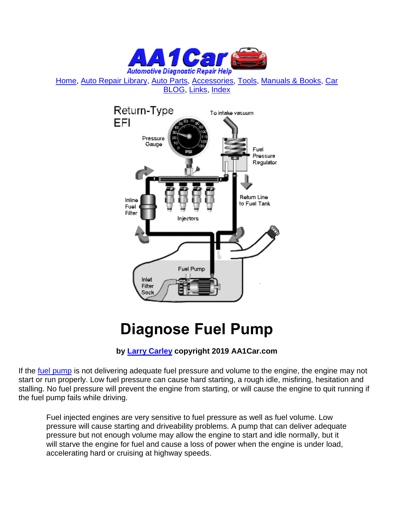

[Home,](http://www.aa1car.com/index.html) [Auto Repair Library,](http://www.aa1car.com/library.htm) [Auto Parts,](http://www.aa1car.com/links_parts.htm) [Accessories,](http://www.aa1car.com/links_accessories.htm) [Tools,](http://www.aa1car.com/links_tools.htm) [Manuals & Books,](http://www.aa1car.com/links_books.htm) [Car](http://www.aa1car.com/blog/blog.htm)  [BLOG,](http://www.aa1car.com/blog/blog.htm) [Links,](http://www.aa1car.com/links.htm) [Index](http://www.aa1car.com/index_alphabetical.htm)



## **Diagnose Fuel Pump**

## **by [Larry Carley](https://www.aa1car.com/larrypage/larrycarley_photos.htm) copyright 2019 AA1Car.com**

If the [fuel pump](http://www.aa1car.com/library/fuel_pump.htm) is not delivering adequate fuel pressure and volume to the engine, the engine may not start or run properly. Low fuel pressure can cause hard starting, a rough idle, misfiring, hesitation and stalling. No fuel pressure will prevent the engine from starting, or will cause the engine to quit running if the fuel pump fails while driving.

Fuel injected engines are very sensitive to fuel pressure as well as fuel volume. Low pressure will cause starting and driveability problems. A pump that can deliver adequate pressure but not enough volume may allow the engine to start and idle normally, but it will starve the engine for fuel and cause a loss of power when the engine is under load, accelerating hard or cruising at highway speeds.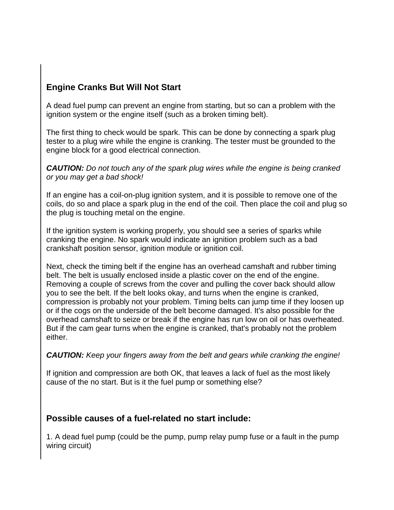## **Engine Cranks But Will Not Start**

A dead fuel pump can prevent an engine from starting, but so can a problem with the ignition system or the engine itself (such as a broken timing belt).

The first thing to check would be spark. This can be done by connecting a spark plug tester to a plug wire while the engine is cranking. The tester must be grounded to the engine block for a good electrical connection.

*CAUTION: Do not touch any of the spark plug wires while the engine is being cranked or you may get a bad shock!*

If an engine has a coil-on-plug ignition system, and it is possible to remove one of the coils, do so and place a spark plug in the end of the coil. Then place the coil and plug so the plug is touching metal on the engine.

If the ignition system is working properly, you should see a series of sparks while cranking the engine. No spark would indicate an ignition problem such as a bad crankshaft position sensor, ignition module or ignition coil.

Next, check the timing belt if the engine has an overhead camshaft and rubber timing belt. The belt is usually enclosed inside a plastic cover on the end of the engine. Removing a couple of screws from the cover and pulling the cover back should allow you to see the belt. If the belt looks okay, and turns when the engine is cranked, compression is probably not your problem. Timing belts can jump time if they loosen up or if the cogs on the underside of the belt become damaged. It's also possible for the overhead camshaft to seize or break if the engine has run low on oil or has overheated. But if the cam gear turns when the engine is cranked, that's probably not the problem either.

#### *CAUTION: Keep your fingers away from the belt and gears while cranking the engine!*

If ignition and compression are both OK, that leaves a lack of fuel as the most likely cause of the no start. But is it the fuel pump or something else?

#### **Possible causes of a fuel-related no start include:**

1. A dead fuel pump (could be the pump, pump relay pump fuse or a fault in the pump wiring circuit)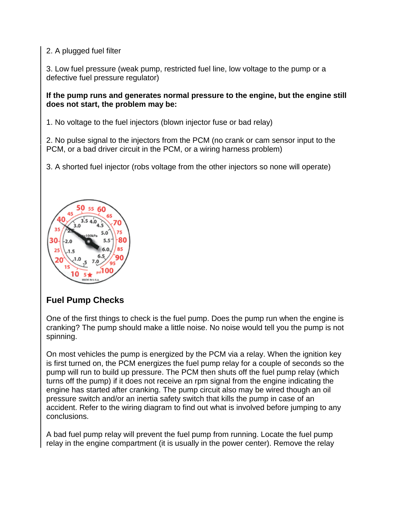#### 2. A plugged fuel filter

3. Low fuel pressure (weak pump, restricted fuel line, low voltage to the pump or a defective fuel pressure regulator)

#### **If the pump runs and generates normal pressure to the engine, but the engine still does not start, the problem may be:**

1. No voltage to the fuel injectors (blown injector fuse or bad relay)

2. No pulse signal to the injectors from the PCM (no crank or cam sensor input to the PCM, or a bad driver circuit in the PCM, or a wiring harness problem)

3. A shorted fuel injector (robs voltage from the other injectors so none will operate)



## **Fuel Pump Checks**

One of the first things to check is the fuel pump. Does the pump run when the engine is cranking? The pump should make a little noise. No noise would tell you the pump is not spinning.

On most vehicles the pump is energized by the PCM via a relay. When the ignition key is first turned on, the PCM energizes the fuel pump relay for a couple of seconds so the pump will run to build up pressure. The PCM then shuts off the fuel pump relay (which turns off the pump) if it does not receive an rpm signal from the engine indicating the engine has started after cranking. The pump circuit also may be wired though an oil pressure switch and/or an inertia safety switch that kills the pump in case of an accident. Refer to the wiring diagram to find out what is involved before jumping to any conclusions.

A bad fuel pump relay will prevent the fuel pump from running. Locate the fuel pump relay in the engine compartment (it is usually in the power center). Remove the relay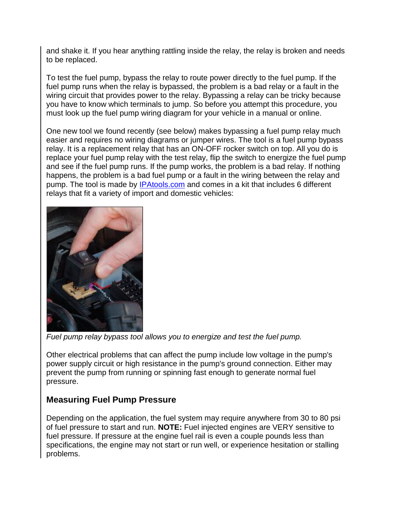and shake it. If you hear anything rattling inside the relay, the relay is broken and needs to be replaced.

To test the fuel pump, bypass the relay to route power directly to the fuel pump. If the fuel pump runs when the relay is bypassed, the problem is a bad relay or a fault in the wiring circuit that provides power to the relay. Bypassing a relay can be tricky because you have to know which terminals to jump. So before you attempt this procedure, you must look up the fuel pump wiring diagram for your vehicle in a manual or online.

One new tool we found recently (see below) makes bypassing a fuel pump relay much easier and requires no wiring diagrams or jumper wires. The tool is a fuel pump bypass relay. It is a replacement relay that has an ON-OFF rocker switch on top. All you do is replace your fuel pump relay with the test relay, flip the switch to energize the fuel pump and see if the fuel pump runs. If the pump works, the problem is a bad relay. If nothing happens, the problem is a bad fuel pump or a fault in the wiring between the relay and pump. The tool is made by [IPAtools.com](http://ipatools.com/) and comes in a kit that includes 6 different relays that fit a variety of import and domestic vehicles:



*Fuel pump relay bypass tool allows you to energize and test the fuel pump.*

Other electrical problems that can affect the pump include low voltage in the pump's power supply circuit or high resistance in the pump's ground connection. Either may prevent the pump from running or spinning fast enough to generate normal fuel pressure.

## **Measuring Fuel Pump Pressure**

Depending on the application, the fuel system may require anywhere from 30 to 80 psi of fuel pressure to start and run. **NOTE:** Fuel injected engines are VERY sensitive to fuel pressure. If pressure at the engine fuel rail is even a couple pounds less than specifications, the engine may not start or run well, or experience hesitation or stalling problems.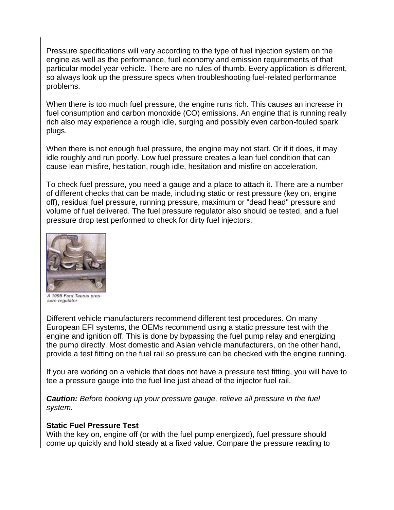Pressure specifications will vary according to the type of fuel injection system on the engine as well as the performance, fuel economy and emission requirements of that particular model year vehicle. There are no rules of thumb. Every application is different, so always look up the pressure specs when troubleshooting fuel-related performance problems.

When there is too much fuel pressure, the engine runs rich. This causes an increase in fuel consumption and carbon monoxide (CO) emissions. An engine that is running really rich also may experience a rough idle, surging and possibly even carbon-fouled spark plugs.

When there is not enough fuel pressure, the engine may not start. Or if it does, it may idle roughly and run poorly. Low fuel pressure creates a lean fuel condition that can cause lean misfire, hesitation, rough idle, hesitation and misfire on acceleration.

To check fuel pressure, you need a gauge and a place to attach it. There are a number of different checks that can be made, including static or rest pressure (key on, engine off), residual fuel pressure, running pressure, maximum or "dead head" pressure and volume of fuel delivered. The fuel pressure regulator also should be tested, and a fuel pressure drop test performed to check for dirty fuel injectors.



A 1996 Ford Taurus pressure regulator

Different vehicle manufacturers recommend different test procedures. On many European EFI systems, the OEMs recommend using a static pressure test with the engine and ignition off. This is done by bypassing the fuel pump relay and energizing the pump directly. Most domestic and Asian vehicle manufacturers, on the other hand, provide a test fitting on the fuel rail so pressure can be checked with the engine running.

If you are working on a vehicle that does not have a pressure test fitting, you will have to tee a pressure gauge into the fuel line just ahead of the injector fuel rail.

*Caution: Before hooking up your pressure gauge, relieve all pressure in the fuel system.* 

#### **Static Fuel Pressure Test**

With the key on, engine off (or with the fuel pump energized), fuel pressure should come up quickly and hold steady at a fixed value. Compare the pressure reading to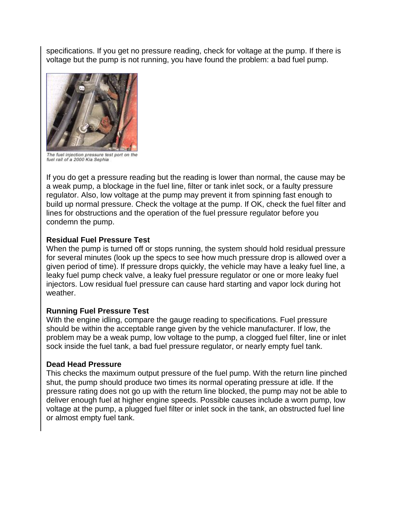specifications. If you get no pressure reading, check for voltage at the pump. If there is voltage but the pump is not running, you have found the problem: a bad fuel pump.



The fuel injection pressure test port on the fuel rail of a 2000 Kia Sephia

If you do get a pressure reading but the reading is lower than normal, the cause may be a weak pump, a blockage in the fuel line, filter or tank inlet sock, or a faulty pressure regulator. Also, low voltage at the pump may prevent it from spinning fast enough to build up normal pressure. Check the voltage at the pump. If OK, check the fuel filter and lines for obstructions and the operation of the fuel pressure regulator before you condemn the pump.

#### **Residual Fuel Pressure Test**

When the pump is turned off or stops running, the system should hold residual pressure for several minutes (look up the specs to see how much pressure drop is allowed over a given period of time). If pressure drops quickly, the vehicle may have a leaky fuel line, a leaky fuel pump check valve, a leaky fuel pressure regulator or one or more leaky fuel injectors. Low residual fuel pressure can cause hard starting and vapor lock during hot weather.

#### **Running Fuel Pressure Test**

With the engine idling, compare the gauge reading to specifications. Fuel pressure should be within the acceptable range given by the vehicle manufacturer. If low, the problem may be a weak pump, low voltage to the pump, a clogged fuel filter, line or inlet sock inside the fuel tank, a bad fuel pressure regulator, or nearly empty fuel tank.

#### **Dead Head Pressure**

This checks the maximum output pressure of the fuel pump. With the return line pinched shut, the pump should produce two times its normal operating pressure at idle. If the pressure rating does not go up with the return line blocked, the pump may not be able to deliver enough fuel at higher engine speeds. Possible causes include a worn pump, low voltage at the pump, a plugged fuel filter or inlet sock in the tank, an obstructed fuel line or almost empty fuel tank.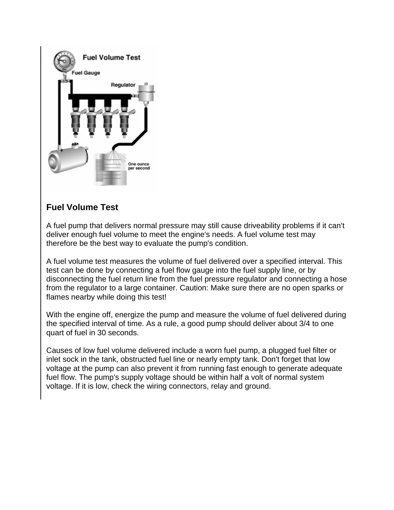

## **Fuel Volume Test**

A fuel pump that delivers normal pressure may still cause driveability problems if it can't deliver enough fuel volume to meet the engine's needs. A fuel volume test may therefore be the best way to evaluate the pump's condition.

A fuel volume test measures the volume of fuel delivered over a specified interval. This test can be done by connecting a fuel flow gauge into the fuel supply line, or by disconnecting the fuel return line from the fuel pressure regulator and connecting a hose from the regulator to a large container. Caution: Make sure there are no open sparks or flames nearby while doing this test!

With the engine off, energize the pump and measure the volume of fuel delivered during the specified interval of time. As a rule, a good pump should deliver about 3/4 to one quart of fuel in 30 seconds.

Causes of low fuel volume delivered include a worn fuel pump, a plugged fuel filter or inlet sock in the tank, obstructed fuel line or nearly empty tank. Don't forget that low voltage at the pump can also prevent it from running fast enough to generate adequate fuel flow. The pump's supply voltage should be within half a volt of normal system voltage. If it is low, check the wiring connectors, relay and ground.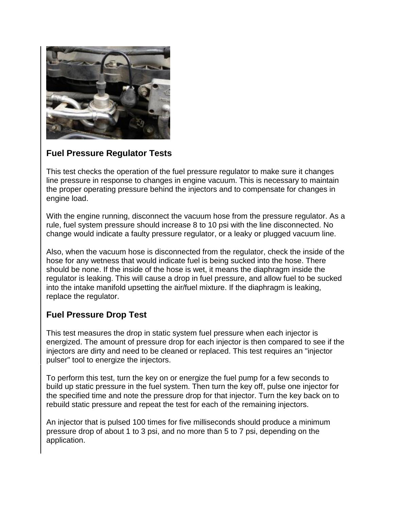

## **Fuel Pressure Regulator Tests**

This test checks the operation of the fuel pressure regulator to make sure it changes line pressure in response to changes in engine vacuum. This is necessary to maintain the proper operating pressure behind the injectors and to compensate for changes in engine load.

With the engine running, disconnect the vacuum hose from the pressure regulator. As a rule, fuel system pressure should increase 8 to 10 psi with the line disconnected. No change would indicate a faulty pressure regulator, or a leaky or plugged vacuum line.

Also, when the vacuum hose is disconnected from the regulator, check the inside of the hose for any wetness that would indicate fuel is being sucked into the hose. There should be none. If the inside of the hose is wet, it means the diaphragm inside the regulator is leaking. This will cause a drop in fuel pressure, and allow fuel to be sucked into the intake manifold upsetting the air/fuel mixture. If the diaphragm is leaking, replace the regulator.

## **Fuel Pressure Drop Test**

This test measures the drop in static system fuel pressure when each injector is energized. The amount of pressure drop for each injector is then compared to see if the injectors are dirty and need to be cleaned or replaced. This test requires an "injector pulser" tool to energize the injectors.

To perform this test, turn the key on or energize the fuel pump for a few seconds to build up static pressure in the fuel system. Then turn the key off, pulse one injector for the specified time and note the pressure drop for that injector. Turn the key back on to rebuild static pressure and repeat the test for each of the remaining injectors.

An injector that is pulsed 100 times for five milliseconds should produce a minimum pressure drop of about 1 to 3 psi, and no more than 5 to 7 psi, depending on the application.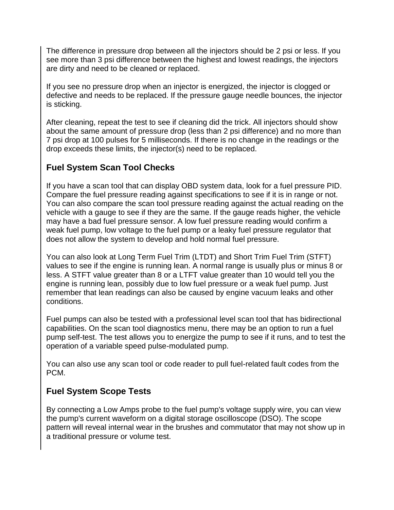The difference in pressure drop between all the injectors should be 2 psi or less. If you see more than 3 psi difference between the highest and lowest readings, the injectors are dirty and need to be cleaned or replaced.

If you see no pressure drop when an injector is energized, the injector is clogged or defective and needs to be replaced. If the pressure gauge needle bounces, the injector is sticking.

After cleaning, repeat the test to see if cleaning did the trick. All injectors should show about the same amount of pressure drop (less than 2 psi difference) and no more than 7 psi drop at 100 pulses for 5 milliseconds. If there is no change in the readings or the drop exceeds these limits, the injector(s) need to be replaced.

## **Fuel System Scan Tool Checks**

If you have a scan tool that can display OBD system data, look for a fuel pressure PID. Compare the fuel pressure reading against specifications to see if it is in range or not. You can also compare the scan tool pressure reading against the actual reading on the vehicle with a gauge to see if they are the same. If the gauge reads higher, the vehicle may have a bad fuel pressure sensor. A low fuel pressure reading would confirm a weak fuel pump, low voltage to the fuel pump or a leaky fuel pressure regulator that does not allow the system to develop and hold normal fuel pressure.

You can also look at Long Term Fuel Trim (LTDT) and Short Trim Fuel Trim (STFT) values to see if the engine is running lean. A normal range is usually plus or minus 8 or less. A STFT value greater than 8 or a LTFT value greater than 10 would tell you the engine is running lean, possibly due to low fuel pressure or a weak fuel pump. Just remember that lean readings can also be caused by engine vacuum leaks and other conditions.

Fuel pumps can also be tested with a professional level scan tool that has bidirectional capabilities. On the scan tool diagnostics menu, there may be an option to run a fuel pump self-test. The test allows you to energize the pump to see if it runs, and to test the operation of a variable speed pulse-modulated pump.

You can also use any scan tool or code reader to pull fuel-related fault codes from the PCM.

## **Fuel System Scope Tests**

By connecting a Low Amps probe to the fuel pump's voltage supply wire, you can view the pump's current waveform on a digital storage oscilloscope (DSO). The scope pattern will reveal internal wear in the brushes and commutator that may not show up in a traditional pressure or volume test.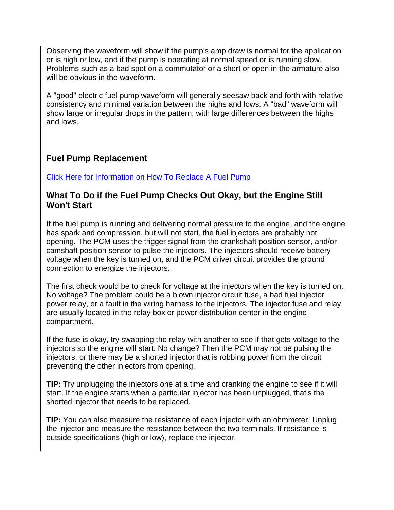Observing the waveform will show if the pump's amp draw is normal for the application or is high or low, and if the pump is operating at normal speed or is running slow. Problems such as a bad spot on a commutator or a short or open in the armature also will be obvious in the waveform.

A "good" electric fuel pump waveform will generally seesaw back and forth with relative consistency and minimal variation between the highs and lows. A "bad" waveform will show large or irregular drops in the pattern, with large differences between the highs and lows.

## **Fuel Pump Replacement**

[Click Here for Information on How To Replace A Fuel Pump](http://www.aa1car.com/library/fuel_pump_replace.htm)

#### **What To Do if the Fuel Pump Checks Out Okay, but the Engine Still Won't Start**

If the fuel pump is running and delivering normal pressure to the engine, and the engine has spark and compression, but will not start, the fuel injectors are probably not opening. The PCM uses the trigger signal from the crankshaft position sensor, and/or camshaft position sensor to pulse the injectors. The injectors should receive battery voltage when the key is turned on, and the PCM driver circuit provides the ground connection to energize the injectors.

The first check would be to check for voltage at the injectors when the key is turned on. No voltage? The problem could be a blown injector circuit fuse, a bad fuel injector power relay, or a fault in the wiring harness to the injectors. The injector fuse and relay are usually located in the relay box or power distribution center in the engine compartment.

If the fuse is okay, try swapping the relay with another to see if that gets voltage to the injectors so the engine will start. No change? Then the PCM may not be pulsing the injectors, or there may be a shorted injector that is robbing power from the circuit preventing the other injectors from opening.

**TIP:** Try unplugging the injectors one at a time and cranking the engine to see if it will start. If the engine starts when a particular injector has been unplugged, that's the shorted injector that needs to be replaced.

**TIP:** You can also measure the resistance of each injector with an ohmmeter. Unplug the injector and measure the resistance between the two terminals. If resistance is outside specifications (high or low), replace the injector.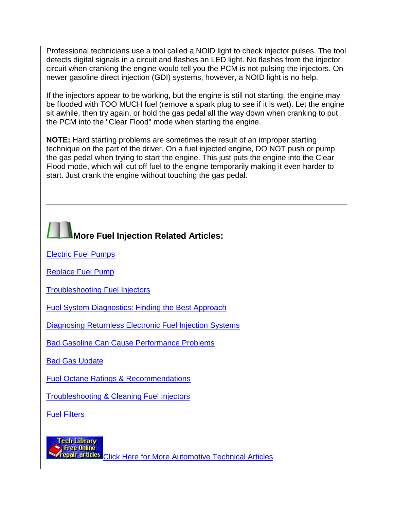Professional technicians use a tool called a NOID light to check injector pulses. The tool detects digital signals in a circuit and flashes an LED light. No flashes from the injector circuit when cranking the engine would tell you the PCM is not pulsing the injectors. On newer gasoline direct injection (GDI) systems, however, a NOID light is no help.

If the injectors appear to be working, but the engine is still not starting, the engine may be flooded with TOO MUCH fuel (remove a spark plug to see if it is wet). Let the engine sit awhile, then try again, or hold the gas pedal all the way down when cranking to put the PCM into the "Clear Flood" mode when starting the engine.

**NOTE:** Hard starting problems are sometimes the result of an improper starting technique on the part of the driver. On a fuel injected engine, DO NOT push or pump the gas pedal when trying to start the engine. This just puts the engine into the Clear Flood mode, which will cut off fuel to the engine temporarily making it even harder to start. Just crank the engine without touching the gas pedal.

# **More Fuel Injection Related Articles:**

[Electric Fuel Pumps](http://www.aa1car.com/library/fuel_pump.htm)

[Replace Fuel Pump](http://www.aa1car.com/library/fuel_pump_replace.htm)

[Troubleshooting Fuel Injectors](http://www.aa1car.com/library/2004/us80414.htm)

[Fuel System Diagnostics: Finding the Best Approach](http://www.aa1car.com/library/2002/us30232.htm)

[Diagnosing Returnless Electronic Fuel Injection Systems](http://www.aa1car.com/library/returnless_efi.htm)

[Bad Gasoline Can Cause Performance Problems](http://www.aa1car.com/library/us10325.htm)

[Bad Gas Update](http://www.aa1car.com/library/bad_gas2.htm)

[Fuel Octane Ratings & Recommendations](http://www.aa1car.com/library/octane.htm)

[Troubleshooting & Cleaning Fuel Injectors](http://www.aa1car.com/library/2003/ic30336.htm)

[Fuel Filters](http://www.aa1car.com/library/fuel_filters.htm)



**Bull of It.BS** [Click Here for More Automotive Technical Articles](http://www.aa1car.com/library.htm)